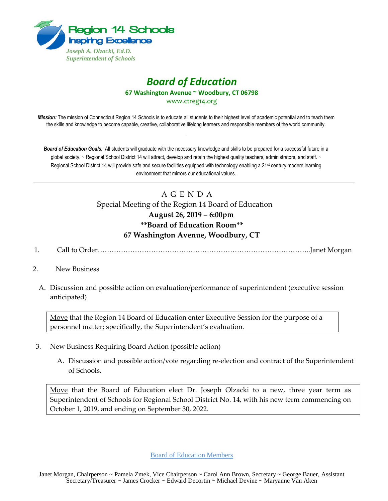

## *Board of Education* **67 Washington Avenue ~ Woodbury, CT 06798**

www.ctreg14.org

*Mission:* The mission of Connecticut Region 14 Schools is to educate all students to their highest level of academic potential and to teach them the skills and knowledge to become capable, creative, collaborative lifelong learners and responsible members of the world community. .

*Board of Education Goals:* All students will graduate with the necessary knowledge and skills to be prepared for a successful future in a global society. ~ Regional School District 14 will attract, develop and retain the highest quality teachers, administrators, and staff. ~ Regional School District 14 will provide safe and secure facilities equipped with technology enabling a 21<sup>st</sup> century modern learning environment that mirrors our educational values.

## A G E N D A Special Meeting of the Region 14 Board of Education **August 26, 2019 – 6:00pm \*\*Board of Education Room\*\* 67 Washington Avenue, Woodbury, CT**

- 1. Call to Order………………………………………………………………………………..Janet Morgan
- 2. New Business
	- A. Discussion and possible action on evaluation/performance of superintendent (executive session anticipated)

Move that the Region 14 Board of Education enter Executive Session for the purpose of a personnel matter; specifically, the Superintendent's evaluation.

- 3. New Business Requiring Board Action (possible action)
	- A. Discussion and possible action/vote regarding re-election and contract of the Superintendent of Schools.

Move that the Board of Education elect Dr. Joseph Olzacki to a new, three year term as Superintendent of Schools for Regional School District No. 14, with his new term commencing on October 1, 2019, and ending on September 30, 2022.

Board of Education Members